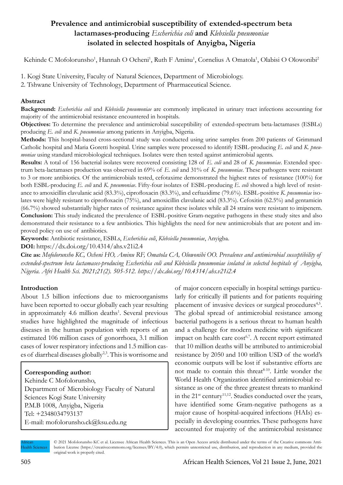## **Prevalence and antimicrobial susceptibility of extended-spectrum beta lactamases-producing** *Escherichia coli* **and** *Klebsiella pneumoniae* **isolated in selected hospitals of Anyigba, Nigeria**

Kehinde C Mofolorunsho<sup>1</sup>, Hannah O Ocheni<sup>1</sup>, Ruth F Aminu<sup>1</sup>, Cornelius A Omatola<sup>1</sup>, Olabisi O Olowonibi<sup>2</sup>

1. Kogi State University, Faculty of Natural Sciences, Department of Microbiology.

2. Tshwane University of Technology, Department of Pharmaceutical Science.

#### **Abstract**

**Background:** *Escherichia coli* and *Klebsiella pneumoniae* are commonly implicated in urinary tract infections accounting for majority of the antimicrobial resistance encountered in hospitals.

**Objectives:** To determine the prevalence and antimicrobial susceptibility of extended-spectrum beta-lactamases (ESBLs) producing *E. coli* and *K. pneumoniae* among patients in Anyigba, Nigeria.

**Methods:** This hospital-based cross-sectional study was conducted using urine samples from 200 patients of Grimmard Catholic hospital and Maria Goretti hospital. Urine samples were processed to identify ESBL-producing *E. coli* and *K. pneumoniae* using standard microbiological techniques. Isolates were then tested against antimicrobial agents.

**Results:** A total of 156 bacterial isolates were recovered consisting 128 of *E. coli* and 28 of *K. pneumoniae*. Extended spectrum beta-lactamases production was observed in 69% of *E. coli* and 31% of *K. pneumoniae*. These pathogens were resistant to 3 or more antibiotics. Of the antimicrobials tested, cefotaxime demonstrated the highest rates of resistance (100%) for both ESBL-producing *E. coli* and *K. pneumoniae*. Fifty-four isolates of ESBL-producing *E. coli* showed a high level of resistance to amoxicillin clavulanic acid (83.3%), ciprofloxacin (83.3%), and ceftazidime (79.6%). ESBL-positive *K. pneumoniae* isolates were highly resistant to ciprofloxacin (75%), and amoxicillin clavulanic acid (83.3%). Cefoxitin (62.5%) and gentamicin (66.7%) showed substantially higher rates of resistance against these isolates while all 24 strains were resistant to imipenem. **Conclusion:** This study indicated the prevalence of ESBL-positive Gram-negative pathogens in these study sites and also demonstrated their resistance to a few antibiotics. This highlights the need for new antimicrobials that are potent and improved policy on use of antibiotics.

**Keywords:** Antibiotic resistance, ESBLs, *Escherichia coli*, *Klebsiella pneumoniae*, Anyigba.

**DOI:** https://dx.doi.org/10.4314/ahs.v21i2.4

**Cite as:** *Mofolorunsho KC, Ocheni HO, Aminu RF, Omatola CA, Olowonibi OO. Prevalence and antimicrobial susceptibility of extended-spectrum beta lactamases-producing Escherichia coli and Klebsiella pneumoniae isolated in selected hospitals of Anyigba, Nigeria. Afri Health Sci. 2021;21(2). 505-512. https://dx.doi.org/10.4314/ahs.v21i2.4*

#### **Introduction**

About 1.5 billion infections due to microorganisms have been reported to occur globally each year resulting in approximately 4.6 million deaths<sup>1</sup>. Several previous studies have highlighted the magnitude of infectious diseases in the human population with reports of an estimated 106 million cases of gonorrhoea, 3.1 million cases of lower respiratory infections and 1.5 million cases of diarrheal diseases globally<sup>2,3</sup>. This is worrisome and

### **Corresponding author:**

Kehinde C Mofolorunsho, Department of Microbiology Faculty of Natural Sciences Kogi State University P.M.B 1008, Anyigba, Nigeria Tel: +2348034793137 E-mail: mofolorunsho.ck@ksu.edu.ng

of major concern especially in hospital settings particularly for critically ill patients and for patients requiring placement of invasive devices or surgical procedures<sup>4,5</sup>. The global spread of antimicrobial resistance among bacterial pathogens is a serious threat to human health and a challenge for modern medicine with significant impact on health care  $cost^{6,7}$ . A recent report estimated that 10 million deaths will be attributed to antimicrobial resistance by 2050 and 100 trillion USD of the world's economic outputs will be lost if substantive efforts are not made to contain this threat<sup>8-10</sup>. Little wonder the World Health Organization identified antimicrobial resistance as one of the three greatest threats to mankind in the  $21^{st}$  century<sup>11,12</sup>. Studies conducted over the years, have identified some Gram-negative pathogens as a major cause of hospital-acquired infections (HAIs) especially in developing countries. These pathogens have accounted for majority of the antimicrobial resistance

African Health Sciences © 2021 Mofolorunsho KC et al. Licensee African Health Sciences. This is an Open Access article distributed under the terms of the Creative commons Attribution License (https://creativecommons.org/licenses/BY/4.0), which permits unrestricted use, distribution, and reproduction in any medium, provided the original work is properly cited.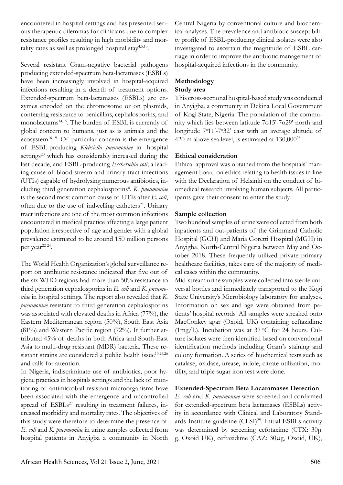encountered in hospital settings and has presented serious therapeutic dilemmas for clinicians due to complex resistance profiles resulting in high morbidity and mortality rates as well as prolonged hospital stay $4,5,13$ .

Several resistant Gram-negative bacterial pathogens producing extended-spectrum beta-lactamases (ESBLs) have been increasingly involved in hospital-acquired infections resulting in a dearth of treatment options. Extended-spectrum beta-lactamases (ESBLs) are enzymes encoded on the chromosome or on plasmids, conferring resistance to penicillins, cephalosporins, and monobactams<sup>14,15</sup>. The burden of ESBL is currently of global concern to humans, just as is animals and the ecosystem<sup>16-19</sup>. Of particular concern is the emergence of ESBL-producing *Klebsiella pneumoniae* in hospital settings<sup>20</sup> which has considerably increased during the last decade, and ESBL-producing *Escherichia coli*; a leading cause of blood stream and urinary tract infections (UTIs) capable of hydrolysing numerous antibiotics, including third generation cephalosporins<sup>6</sup>. K. pneumoniae is the second most common cause of UTIs after *E. coli*, often due to the use of indwelling catheters<sup>21</sup>. Urinary tract infections are one of the most common infections encountered in medical practice affecting a large patient population irrespective of age and gender with a global prevalence estimated to be around 150 million persons per year<sup>22-24</sup>.

The World Health Organization's global surveillance report on antibiotic resistance indicated that five out of the six WHO regions had more than 50% resistance to third generation cephalosporins in *E. coli* and *K. pneumoniae* in hospital settings. The report also revealed that *K. pneumoniae* resistant to third generation cephalosporins was associated with elevated deaths in Africa (77%), the Eastern Mediterranean region (50%), South East Asia (81%) and Western Pacific region (72%). It further attributed 45% of deaths in both Africa and South-East Asia to multi-drug resistant (MDR) bacteria. These resistant strains are considered a public health issue<sup>10,25,26</sup> and calls for attention.

In Nigeria, indiscriminate use of antibiotics, poor hygiene practices in hospitals settings and the lack of monitoring of antimicrobial resistant microorganisms have been associated with the emergence and uncontrolled spread of  $ESB Ls<sup>27</sup>$  resulting in treatment failures, increased morbidity and mortality rates. The objectives of this study were therefore to determine the presence of *E. coli* and *K. pneumoniae* in urine samples collected from hospital patients in Anyigba a community in North

Central Nigeria by conventional culture and biochemical analyses. The prevalence and antibiotic susceptibility profile of ESBL-producing clinical isolates were also investigated to ascertain the magnitude of ESBL carriage in order to improve the antibiotic management of hospital-acquired infections in the community.

# **Methodology**

## **Study area**

This cross-sectional hospital-based study was conducted in Anyigba, a community in Dekina Local Government of Kogi State, Nigeria. The population of the community which lies between latitude 7o15'-7o29' north and longitude 7°11'-7°32' east with an average altitude of 420 m above sea level, is estimated at  $130,000^{28}$ .

## **Ethical consideration**

Ethical approval was obtained from the hospitals' management board on ethics relating to health issues in line with the Declaration of Helsinki on the conduct of biomedical research involving human subjects. All participants gave their consent to enter the study.

## **Sample collection**

Two hundred samples of urine were collected from both inpatients and out-patients of the Grimmard Catholic Hospital (GCH) and Maria Goretti Hospital (MGH) in Anyigba, North-Central Nigeria between May and October 2018. These frequently utilized private primary healthcare facilities, takes care of the majority of medical cases within the community.

Mid-stream urine samples were collected into sterile universal bottles and immediately transported to the Kogi State University's Microbiology laboratory for analyses. Information on sex and age were obtained from patients' hospital records. All samples were streaked onto MacConkey agar (Oxoid, UK) containing ceftazidime (1mg/L). Incubation was at 37 °C for 24 hours. Culture isolates were then identified based on conventional identification methods including Gram's staining and colony formation. A series of biochemical tests such as catalase, oxidase, urease, indole, citrate utilization, motility, and triple sugar iron test were done.

## **Extended-Spectrum Beta Lacatamases Detection**

*E. coli* and *K. pneumoniae* were screened and confirmed for extended-spectrum beta lactamases (ESBLs) activity in accordance with Clinical and Laboratory Standards Institute guideline (CLSI)<sup>29</sup>. Initial ESBLs activity was determined by screening cefotaxime (CTX:  $30\mu$ ) g, Oxoid UK), ceftazidime (CAZ: 30µg, Oxoid, UK),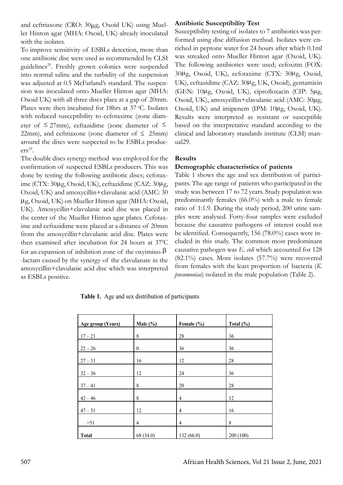and ceftriaxone (CRO: 30µg, Oxoid UK) using Mueller Hinton agar (MHA: Oxoid, UK) already inoculated with the isolates.

To improve sensitivity of ESBLs detection, more than one antibiotic disc were used as recommended by CLSI guidelines29. Freshly grown colonies were suspended into normal saline and the turbidity of the suspension was adjusted at 0.5 McFarland's standard. The suspension was inoculated onto Mueller Hinton agar (MHA: Oxoid UK) with all three discs place at a gap of 20mm. Plates were then incubated for 18hrs at 37 °C. Isolates with reduced susceptibility to cefotaxime (zone diameter of  $\leq$  27mm), ceftazidime (zone diameter of  $\leq$ 22mm), and ceftriaxone (zone diameter of  $\leq$  25mm) around the discs were suspected to be ESBLs produc $ers<sup>29</sup>$ .

The double discs synergy method was employed for the confirmation of suspected ESBLs producers. This was done by testing the following antibiotic discs; cefotaxime (CTX: 30µg, Oxoid, UK), ceftazidime (CAZ: 30µg, Oxoid, UK) and amoxycillin+clavulanic acid (AMC: 30 µg, Oxoid, UK) on Mueller Hinton agar (MHA: Oxoid, UK). Amoxycillin+clavulanic acid disc was placed in the center of the Mueller Hinton agar plates. Cefotaxime and ceftazidime were placed at a distance of 20mm from the amoxycillin+clavulanic acid disc. Plates were then examined after incubation for 24 hours at 37°C for an expansion of inhibition zone of the oxyimino- $\beta$ -lactam caused by the synergy of the clavulanate in the amoxycillin+clavulanic acid disc which was interpreted as ESBLs positive.

#### **Antibiotic Susceptibility Test**

Susceptibility testing of isolates to 7 antibiotics was performed using disc diffusion method. Isolates were enriched in peptone water for 24 hours after which 0.1ml was streaked onto Mueller Hinton agar (Oxoid, UK). The following antibiotics were used; cefoxitin (FOX: 30µg, Oxoid, UK), cefotaxime (CTX: 30µg, Oxoid, UK), ceftazidime (CAZ: 30µg, UK, Oxoid), gentamicin (GEN: 10µg, Oxoid, UK), ciprofloxacin (CIP: 5µg, Oxoid, UK), amoxycillin+clavulanic acid (AMC: 30µg, Oxoid, UK) and imipenem (IPM: 10µg, Oxoid, UK). Results were interpreted as resistant or susceptible based on the interpretative standard according to the clinical and laboratory standards institute (CLSI) manual29.

#### **Results**

#### **Demographic characteristics of patients**

Table 1 shows the age and sex distribution of participants. The age range of patients who participated in the study was between 17 to 72 years. Study population was predominantly females (66.0%) with a male to female ratio of 1:1.9. During the study period, 200 urine samples were analysed. Forty-four samples were excluded because the causative pathogens of interest could not be identified. Consequently, 156 (78.0%) cases were included in this study. The common most predominant causative pathogen was *E. coli* which accounted for 128 (82.1%) cases. More isolates (57.7%) were recovered from females with the least proportion of bacteria (*K. pneumoniae*) isolated in the male population (Table 2).

**Table 1.** Age and sex distribution of participants

| <b>Age group (Years)</b> | Male $(\% )$   | Female (%) | Total $(\% )$ |
|--------------------------|----------------|------------|---------------|
| $17 - 21$                | 8              | 28         | 36            |
| $22 - 26$                | $\theta$       | 36         | 36            |
| $27 - 31$                | 16             | 12         | 28            |
| $32 - 36$                | 12             | 24         | 36            |
| $37 - 41$                | 8              | 20         | 28            |
| $42 - 46$                | 8              | 4          | 12            |
| $47 - 51$                | 12             | 4          | 16            |
| $>51$                    | $\overline{4}$ | 4          | 8             |
| <b>Total</b>             | 68 (34.0)      | 132(66.0)  | 200(100)      |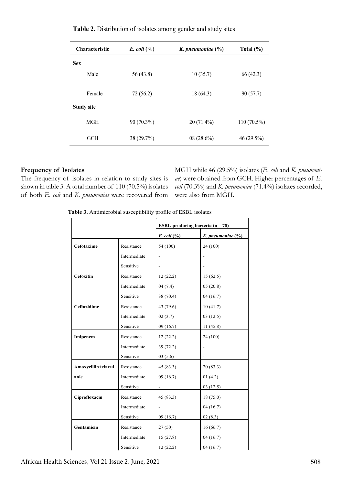| <b>Characteristic</b> | E. coli $(\% )$ | K. pneumoniae $(\%)$ | Total $(\% )$ |  |
|-----------------------|-----------------|----------------------|---------------|--|
| <b>Sex</b>            |                 |                      |               |  |
| Male                  | 56(43.8)        | 10(35.7)             | 66(42.3)      |  |
| Female                | 72(56.2)        | 18(64.3)             | 90(57.7)      |  |
| <b>Study site</b>     |                 |                      |               |  |
| MGH                   | 90 (70.3%)      | $20(71.4\%)$         | $110(70.5\%)$ |  |
| <b>GCH</b>            | 38 (29.7%)      | $08(28.6\%)$         | 46 (29.5%)    |  |

**Table 2.** Distribution of isolates among gender and study sites

#### **Frequency of Isolates**

The frequency of isolates in relation to study sites is shown in table 3. A total number of 110 (70.5%) isolates of both *E. coli* and *K. pneumoniae* were recovered from

MGH while 46 (29.5%) isolates (*E. coli* and *K. pneumoniae*) were obtained from GCH. Higher percentages of *E. coli* (70.3%) and *K. pneumoniae* (71.4%) isolates recorded, were also from MGH.

**Table 3.** Antimicrobial susceptibility profile of ESBL isolates

|                    |              | ESBL-producing bacteria $(n = 78)$ |                       |
|--------------------|--------------|------------------------------------|-----------------------|
|                    |              | E. coli $\left(\frac{9}{6}\right)$ | K. pneumoniae $(\% )$ |
| Cefotaxime         | Resistance   | 54 (100)                           | 24 (100)              |
|                    | Intermediate |                                    |                       |
|                    | Sensitive    |                                    |                       |
| <b>Cefoxitin</b>   | Resistance   | 12(22.2)                           | 15(62.5)              |
|                    | Intermediate | 04(7.4)                            | 05(20.8)              |
|                    | Sensitive    | 38 (70.4)                          | 04(16.7)              |
| <b>Ceftazidime</b> | Resistance   | 43 (79.6)                          | 10(41.7)              |
|                    | Intermediate | 02(3.7)                            | 03(12.5)              |
|                    | Sensitive    | 09(16.7)                           | 11(45.8)              |
| Imipenem           | Resistance   | 12(22.2)                           | 24 (100)              |
|                    | Intermediate | 39(72.2)                           |                       |
|                    | Sensitive    | 03(5.6)                            |                       |
| Amoxycillin+clavul | Resistance   | 45(83.3)                           | 20(83.3)              |
| anic               | Intermediate | 09(16.7)                           | 01(4.2)               |
|                    | Sensitive    |                                    | 03(12.5)              |
| Ciprofloxacin      | Resistance   | 45(83.3)                           | 18(75.0)              |
|                    | Intermediate |                                    | 04(16.7)              |
|                    | Sensitive    | 09(16.7)                           | 02(8.3)               |
| Gentamicin         | Resistance   | 27(50)                             | 16(66.7)              |
|                    | Intermediate | 15(27.8)                           | 04(16.7)              |
|                    | Sensitive    | 12(22.2)                           | 04(16.7)              |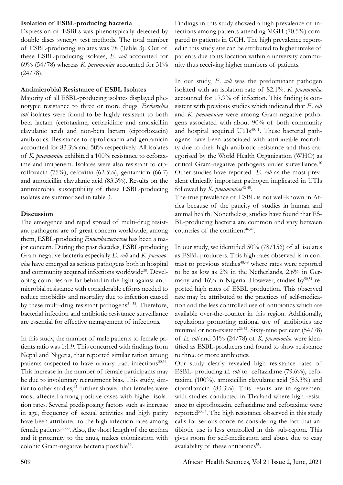#### **Isolation of ESBL-producing bacteria**

Expression of ESBLs was phenotypically detected by double discs synergy test methods. The total number of ESBL-producing isolates was 78 (Table 3). Out of these ESBL-producing isolates, *E. coli* accounted for 69% (54/78) whereas *K. pneumoniae* accounted for 31%  $(24/78).$ 

#### **Antimicrobial Resistance of ESBL Isolates**

Majority of all ESBL-producing isolates displayed phenotypic resistance to three or more drugs. *Escherichia coli* isolates were found to be highly resistant to both beta lactam (cefotaxime, ceftazidime and amoxicillin clavulanic acid) and non-beta lactam (ciprofloxacin) antibiotics. Resistance to ciprofloxacin and gentamicin accounted for 83.3% and 50% respectively. All isolates of *K. pneumoniae* exhibited a 100% resistance to cefotaxime and imipenem. Isolates were also resistant to ciprofloxacin (75%), cefoxitin (62.5%), gentamicin (66.7) and amoxicillin clavulanic acid (83.3%). Results on the antimicrobial susceptibility of these ESBL-producing isolates are summarized in table 3.

#### **Discussion**

The emergence and rapid spread of multi-drug resistant pathogens are of great concern worldwide; among them, ESBL-producing *Enterobacteriaceae* has been a major concern. During the past decades, ESBL-producing Gram-negative bacteria especially *E. coli* and *K. pneumoniae* have emerged as serious pathogens both in hospital and community acquired infections worldwide<sup>30</sup>. Developing countries are far behind in the fight against antimicrobial resistance with considerable efforts needed to reduce morbidity and mortality due to infection caused by these multi-drug resistant pathogens<sup>31-33</sup>. Therefore, bacterial infection and antibiotic resistance surveillance are essential for effective management of infections.

In this study, the number of male patients to female patients ratio was 1:1.9. This concurred with findings from Nepal and Nigeria, that reported similar ration among patients suspected to have urinary tract infections<sup>30,34</sup>. This increase in the number of female participants may be due to involuntary recruitment bias. This study, similar to other studies,<sup>34</sup> further showed that females were most affected among positive cases with higher isolation rates. Several predisposing factors such as increase in age, frequency of sexual activities and high parity have been attributed to the high infection rates among female patients<sup>35-38</sup>. Also, the short length of the urethra and it proximity to the anus, makes colonization with colonic Gram-negative bacteria possible<sup>39</sup>.

Findings in this study showed a high prevalence of infections among patients attending MGH (70.5%) compared to patients in GCH. The high prevalence reported in this study site can be attributed to higher intake of patients due to its location within a university community thus receiving higher numbers of patients.

In our study, *E. coli* was the predominant pathogen isolated with an isolation rate of 82.1%. *K. pneumoniae*  accounted for 17.9% of infection. This finding is consistent with previous studies which indicated that *E. coli* and *K. pneumoniae* were among Gram-negative pathogens associated with about 90% of both community and hospital acquired UTIs<sup>40,41</sup>. These bacterial pathogens have been associated with attributable mortality due to their high antibiotic resistance and thus categorised by the World Health Organization (WHO) as critical Gram-negative pathogens under surveillance.<sup>10</sup> Other studies have reported *E. coli* as the most prevalent clinically important pathogen implicated in UTIs followed by *K. pneumoniae*42-45.

The true prevalence of ESBL is not well-known in Africa because of the paucity of studies in human and animal health. Nonetheless, studies have found that ES-BL-producing bacteria are common and vary between countries of the continent<sup>46,47</sup>.

In our study, we identified 50% (78/156) of all isolates as ESBL-producers. This high rates observed is in contrast to previous studies<sup>48,49</sup> where rates were reported to be as low as 2% in the Netherlands, 2.6% in Germany and 16% in Nigeria. However, studies by<sup>50,51</sup> reported high rates of ESBL production. This observed rate may be attributed to the practices of self-medication and the less controlled use of antibiotics which are available over-the-counter in this region. Additionally, regulations promoting rational use of antibiotics are minimal or non-existent<sup>26,52</sup>. Sixty-nine per cent  $(54/78)$ of *E. coli* and 31% (24/78) of *K. pneumoniae* were identified as ESBL-producers and found to show resistance to three or more antibiotics.

Our study clearly revealed high resistance rates of ESBL- producing *E. coli* to ceftazidime (79.6%), cefotaxime (100%), amoxicillin clavulanic acid (83.3%) and ciprofloxacin (83.3%). This results are in agreement with studies conducted in Thailand where high resistance to ciprofloxacin, ceftazidime and cefotaxime were reported<sup>53,54</sup>. The high resistance observed in this study calls for serious concerns considering the fact that antibiotic use is less controlled in this sub-region. This gives room for self-medication and abuse due to easy availability of these antibiotics<sup>55</sup>.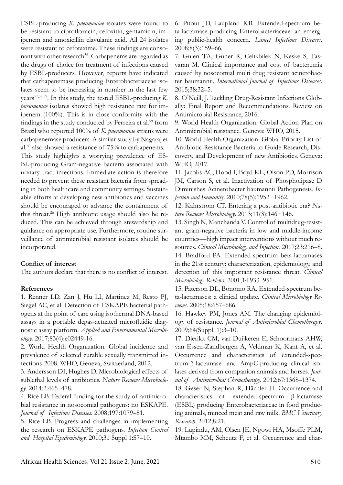ESBL-producing *K. pneumoniae* isolates were found to be resistant to ciprofloxacin, cefoxitin, gentamicin, imipenem and amoxicillin clavulanic acid. All 24 isolates were resistant to cefotaxime. These findings are consonant with other research<sup>56</sup>. Carbapenems are regarded as the drugs of choice for treatment of infections caused by ESBL-producers. However, reports have indicated that carbapenemase producing Enterobacteriaceae isolates seem to be increasing in number in the last few years57,58,59. In this study, the tested ESBL-producing *K. pneumoniae* isolates showed high resistance rate for imipenem (100%). This is in close conformity with the findings in the study conducted by Ferreira et al.<sup>59</sup> from Brazil who reported 100% of *K. pneumoniae* strains were carbapenemase producers. A similar study by Nagaraj et al.60 also showed a resistance of 75% to carbapenems.

This study highlights a worrying prevalence of ES-BL-producing Gram-negative bacteria associated with urinary tract infections. Immediate action is therefore needed to prevent these resistant bacteria from spreading in both healthcare and community settings. Sustainable efforts at developing new antibiotics and vaccines should be encouraged to advance the containment of this threat.<sup>26</sup> High antibiotic usage should also be reduced. This can be achieved through stewardship and guidance on appropriate use. Furthermore, routine surveillance of antimicrobial resistant isolates should be incorporated.

#### **Conflict of interest**

The authors declare that there is no conflict of interest.

#### **References**

1. Renner LD, Zan J, Hu LI, Martinez M, Resto PJ, Siegel AC, et al. Detection of ESKAPE bacterial pathogens at the point of care using isothermal DNA-based assays in a portable degas-actuated microfluidic diagnostic assay platform. *Applied and Environmental Microbiology.* 2017;83(4):e02449-16.

2. World Health Organization. Global incidence and prevalence of selected curable sexually transmitted infections-2008. WHO, Geneva, Switzerland, 2012.

3. Andersson DI, Hughes D. Microbiological effects of sublethal levels of antibiotics. *Nature Reviews Microbiology*. 2014;2:465–478.

4. Rice LB. Federal funding for the study of antimicrobial resistance in nosocomial pathogens: no ESKAPE. *Journal of Infectious Diseases*. 2008;197:1079–81.

5. Rice LB. Progress and challenges in implementing the research on ESKAPE pathogens. *Infection Control and Hospital Epidemiology.* 2010;31 Suppl 1:S7–10.

6. Pitout JD, Laupland KB. Extended-spectrum beta-lactamase-producing Enterobacteriaceae: an emerging public-health concern. *Lancet Infectious Diseases*. 2008;8(3):159–66.

7. Gulen TA, Guner R, Celikbilek N, Keske S, Tasyaran M. Clinical importance and cost of bacteremia caused by nosocomial multi drug resistant acinetobacter baumannii. *International Journal of Infectious Diseases*. 2015;38:32–5.

8. O'Neill, J. Tackling Drug-Resistant Infections Globally: Final Report and Recommendations. Review on Antimicrobial Resistance, 2016.

9. World Health Organization. Global Action Plan on Antimicrobial resistance. Geneva: WHO, 2015.

10. World Health Organization. Global Priority List of Antibiotic-Resistance Bacteria to Guide Research, Discovery, and Development of new Antibiotics. Geneva: WHO, 2017.

11. Jacobs AC, Hood I, Boyd KL, Olson PD, Morrison JM, Carson S, et al. Inactivation of Phospholipase D Diminishes Acinetobacter baumannii Pathogenesis. *Infection and Immunity*. 2010;78(5):1952−1962.

12. Kahrstrom CT. Entering a post-antibiotic era? *Nature Reviews Microbiology*. 2013;11(3):146−146.

13. Singh N, Manchanda V. Control of multidrug-resistant gram-negative bacteria in low and middle-income countries—high impact interventions without much resources. *Clinical Microbiology and Infection*. 2017;23:216–8. 14. Bradford PA. Extended-spectrum beta-lactamases in the 21st century: characterization, epidemiology, and detection of this important resistance threat. *Clinical Microbiology Reviews*. 2001;14:933–951.

15. Paterson DL, Bonomo RA. Extended-spectrum beta-lactamases: a clinical update. *Clinical Microbiology Reviews*. 2005;18:657–686.

16. Hawkey PM, Jones AM. The changing epidemiology of resistance. *Journal of Antimicrobial Chemotherapy*. 2009;64(Suppl. 1):3–10.

17. Dierikx CM, van Duijkeren E, Schoormans AHW, van Essen-Zandbergen A, Veldman K, Kant A, et al. Occurrence and characteristics of extended-spectrum-β-lactamase- and AmpC-producing clinical isolates derived from companion animals and horses. *Journal of Antimicrobial Chemotherapy*. 2012;67:1368–1374.

18. Geser N, Stephan R, Hächler H. Occurrence and characteristics of extended-spectrum β-lactamase (ESBL) producing Enterobacteriaceae in food producing animals, minced meat and raw milk. *BMC Veterinary Research*. 2012;8:21.

19. Lupindu, AM, Olsen JE, Ngowi HA, Msoffe PLM, Mtambo MM, Scheutz F, et al. Occurrence and char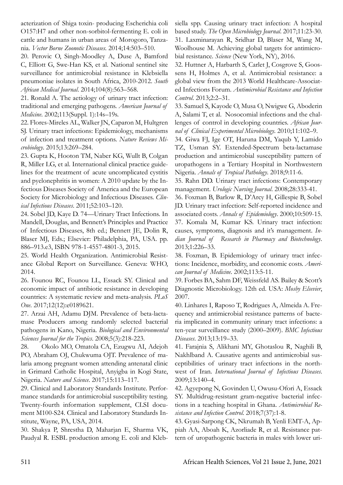acterization of Shiga toxin- producing Escherichia coli O157:H7 and other non-sorbitol-fermenting E. coli in cattle and humans in urban areas of Morogoro, Tanzania. *Vector Borne Zoonotic Diseases*. 2014;14:503–510.

20. Perovic O, Singh-Moodley A, Duse A, Bamford C, Elliott G, Swe-Han KS, et al. National sentinel site surveillance for antimicrobial resistance in Klebsiella pneumoniae isolates in South Africa, 2010-2012. *South African Medical Journal*. 2014;104(8):563–568.

21. Ronald A. The aetiology of urinary tract infection: traditional and emerging pathogens. *American Journal of Medicine*. 2002;113(Suppl. 1):14s–19s.

22. Flores-Mireles AL, Walker JN, Caparon M, Hultgren SJ. Urinary tract infections: Epidemiology, mechanisms of infection and treatment options. *Nature Reviews Microbiology*. 2015;13:269–284.

23. Gupta K, Hooton TM, Naber KG, Wullt B, Colgan R, Miller LG, et al. International clinical practice guidelines for the treatment of acute uncomplicated cystitis and pyelonephritis in women: A 2010 update by the Infectious Diseases Society of America and the European Society for Microbiology and Infectious Diseases. *Clinical Infectious Diseases*. 2011;52:103–120.

24. Sobel JD, Kaye D. 74—Urinary Tract Infections. In Mandell, Douglas, and Bennett's Principles and Practice of Infectious Diseases, 8th ed.; Bennett JE, Dolin R, Blaser MJ, Eds.; Elsevier: Philadelphia, PA, USA. pp. 886–913.e3, ISBN 978-1-4557-4801-3, 2015.

25. World Health Organization. Antimicrobial Resistance Global Report on Surveillance. Geneva: WHO, 2014.

26. Founou RC, Founou LL, Essack SY. Clinical and economic impact of antibiotic resistance in developing countries: A systematic review and meta-analysis. *PLoS One*. 2017;12(12):e0189621.

27. Arzai AH, Adamu DJM. Prevalence of beta-lactamase Producers among randomly selected bacterial pathogens in Kano, Nigeria. *Biological and Environmental Sciences Journal for the Tropics*. 2008;5(3):218-223.

28. Okolo MO, Omatola CA, Ezugwu AI, Adejoh PO, Abraham OJ, Chukwuma OJT. Prevalence of malaria among pregnant women attending antenatal clinic in Grimard Catholic Hospital, Anyigba in Kogi State, Nigeria. *Nature and Science*. 2017;15:113–117.

29. Clinical and Laboratory Standards Institute. Performance standards for antimicrobial susceptibility testing. Twenty-fourth information supplement, CLSI document M100-S24. Clinical and Laboratory Standards Institute, Wayne, PA, USA, 2014.

30. Shakya P, Shrestha D, Maharjan E, Sharma VK, Paudyal R. ESBL production among E. coli and Klebsiella spp. Causing urinary tract infection: A hospital based study. *The Open Microbiology Journal*. 2017;11:23-30. 31. Laxminarayan R, Sridhar D, Blaser M, Wang M, Woolhouse M. Achieving global targets for antimicrobial resistance. *Science* (New York, NY), 2016.

32. Huttner A, Harbarth S, Carlet J, Cosgrove S, Goossens H, Holmes A, et al. Antimicrobial resistance: a global view from the 2013 World Healthcare-Associated Infections Forum. *Antimicrobial Resistance and Infection Control*. 2013;2:2–31.

33. Samuel S, Kayode O, Musa O, Nwigwe G, Aboderin A, Salami T, et al. Nosocomial infections and the challenges of control in developing countries. *African Journal of Clinical Experimental Microbiology*. 2010;11:102–9.

34. Giwa FJ, Ige OT, Haruna DM, Yaqub Y, Lamido TZ, Usman SY. Extended-Spectrum beta-lactamase production and antimicrobial susceptibility pattern of uropathogens in a Tertiary Hospital in Northwestern Nigeria. *Annals of Tropical Pathology*. 2018;9:11-6.

35. Rahn DD. Urinary tract infections: Contemporary management. *Urologic Nursing Journal*. 2008;28:333-41.

36. Foxman B, Barlow R, D'Arcy H, Gillespie B, Sobel JD. Urinary tract infection: Self-reported incidence and associated costs. *Annals of Epidemiology*. 2000;10:509-15. 37. Komala M, Kumar KS. Urinary tract infection: causes, symptoms, diagnosis and it's management. *Indian Journal of Research in Pharmacy and Biotechnology*. 2013;1:226–33.

38. Foxman, B. Epidemiology of urinary tract infections: Incidence, morbidity, and economic costs. *American Journal of Medicine*. 2002;113:5-11.

39. Forbes BA, Sahm DF, Weissfeld AS. Bailey & Scott's Diagnostic Microbiology. 12th ed. USA: *Mosby Elsevier*, 2007.

40. Linhares I, Raposo T, Rodrigues A, Almeida A. Frequency and antimicrobial resistance patterns of bacteria implicated in community urinary tract infections: a ten-year surveillance study (2000–2009). *BMC Infectious Diseases*. 2013;13:19–33.

41. Farajnia S, Alikhani MY, Ghotaslou R, Naghili B, Nakhlband A. Causative agents and antimicrobial susceptibilities of urinary tract infections in the northwest of Iran. *International Journal of Infectious Diseases*. 2009;13:140–4.

42. Agyepong N, Govinden U, Owusu-Ofori A, Essack SY. Multidrug-resistant gram-negative bacterial infections in a teaching hospital in Ghana. *Antimicrobial Resistance and Infection Control*. 2018;7(37):1-8.

43. Gyasi-Sarpong CK, Nkrumah B, Yenli EMT-A, Appiah AA, Aboah K, Azorliade R, et al. Resistance pattern of uropathogenic bacteria in males with lower uri